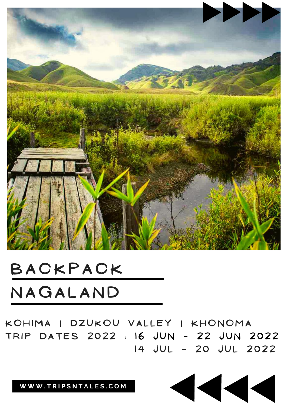

### **B A C K P A C K N A G A L A N D**

KOHIMA I DZUKOU VALLEY I KHONOMA TRIP DATES 2022 : 16 JUN - 22 JUN 2022 **1 4 J U L - 2 0 J U L 2 0 2 2**

 $\blacktriangleleft$ 

**W W W . T R I P S N T A L E S . C O M**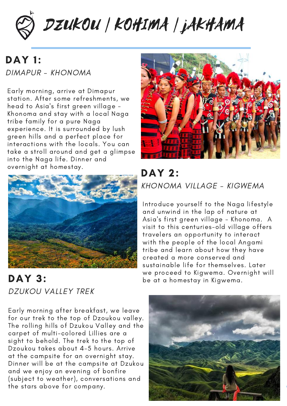

### DAY 1: DIMAPUR - KHONOMA

Early morning, arrive at Dimapur station. After some refreshments, we head to Asia's first green village - Khonoma and stay with a local Naga tribe family for a pure Naga experience. It is surrounded by lush green hills and a perfect place for interactions with the locals. You can take a stroll around and get a glimpse into the Naga life. Dinner and overnight at homestay.



DAY 3: DZUKOU VALLEY TREK

Early morning after breakfast, we leave for our trek to the top of Dzoukou valley. The rolling hills of Dzukou Valley and the carpet of multi-colored Lillies are a sight to behold. The trek to the top of Dzoukou takes about 4-5 hours. Arrive at the campsite for an overnight stay. Dinner will be at the campsite at Dzukou and we enjoy an evening of bonfire (subject to weather), conversations and the stars above for company.



DAY 2: KHONOMA VILLAGE - KIGWEMA

Introduce yourself to the Naga lifestyle and unwind in the lap of nature at Asia's first green village - Khonoma. A visit to this centuries-old village offers travelers an opportunity to interact with the people of the local Angami tribe and learn about how they have created a more conserved and sustainable life for themselves. Later we proceed to Kigwema. Overnight will be at a homestay in Kigwema.

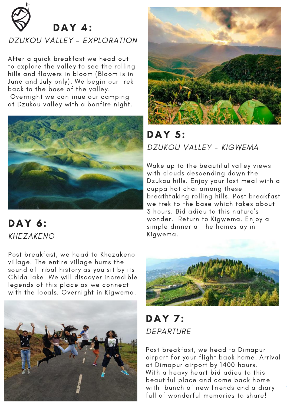

#### DZUKOU VALLEY - EXPLORATION

After a quick breakfast we head out to explore the valley to see the rolling hills and flowers in bloom (Bloom is in June and July only). We begin our trek back to the base of the valley.

Overnight we continue our camping at Dzukou valley with a bonfire night.



### DAY 6: KHEZAKENO

Post breakfast, we head to Khezakeno village. The entire village hums the sound of tribal history as you sit by its Chida lake. We will discover incredible legends of this place as we connect with the locals. Overnight in Kigwema.





### DAY 5: DZUKOU VALLEY - KIGWEMA

Wake up to the beautiful valley views with clouds descending down the Dzukou hills. Enjoy your last meal with a cuppa hot chai among these breathtaking rolling hills. Post breakfast we trek to the base which takes about 3 hours. Bid adieu to this nature's wonder. Return to Kigwema. Enjoy a simple dinner at the homestay in Kigwema.



**DAY 7:** DEPARTURE

Post breakfast, we head to Dimapur airport for your flight back home. Arrival at Dimapur airport by 1400 hours. With a heavy heart bid adieu to this beautiful place and come back home with bunch of new friends and a diary full of wonderful memories to share!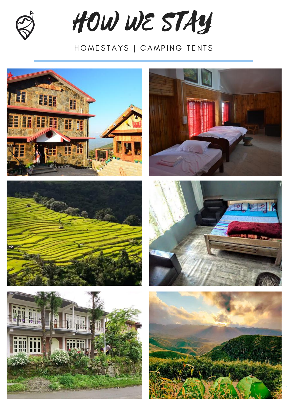

HOW WE STAY

### HOMESTAYS | CAMPING TENTS









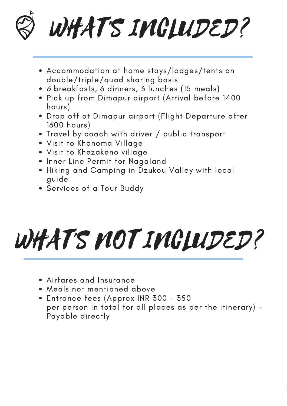# WHAT'S IMCLUDED?

- Accommodation at home stays/lodges/tents on double/triple/quad sharing basis
- 6 breakfasts, 6 dinners, 3 lunches (15 meals)
- Pick up from Dimapur airport (Arrival before 1400 hours)
- Drop off at Dimapur airport (Flight Departure after 1600 hours)
- Travel by coach with driver / public transport
- Visit to Khonoma Village
- Visit to Khezakeno village
- Inner Line Permit for Nagaland
- Hiking and Camping in Dzukou Valley with local guide
- Services of a Tour Buddy

# WHAT'S MOT IMCLUDED?

- Airfares and Insurance
- Meals not mentioned above
- Entrance fees (Approx INR 300 350 per person in total for all places as per the itinerary) - Payable directly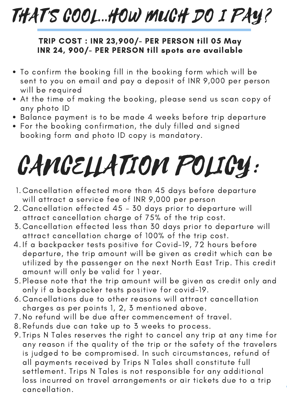## THAT'S COOL...HOW MUCH DO I PAY?

#### TRIP COST : INR 23,900/- PER PERSON till 05 May INR 24, 900/- PER PERSON till spots are available

- To confirm the booking fill in the booking form which will be sent to you on email and pay a deposit of INR 9,000 per person will be required
- At the time of making the booking, please send us scan copy of any photo ID
- Balance payment is to be made 4 weeks before trip departure
- For the booking confirmation, the duly filled and signed booking form and photo ID copy is mandatory.

## CANCELLATION POLICY:

- Cancellation effected more than 45 days before departure 1. will attract a service fee of INR 9,000 per person
- Cancellation effected 45 30 days prior to departure will 2. attract cancellation charge of 75% of the trip cost.
- Cancellation effected less than 30 days prior to departure will 3. attract cancellation charge of 100% of the trip cost.
- 4. If a backpacker tests positive for Covid–19, 72 hours before departure, the trip amount will be given as credit which can be utilized by the passenger on the next North East Trip. This credit amount will only be valid for 1 year.
- 5.Please note that the trip amount will be given as credit only and only if a backpacker tests positive for covid-19.
- Cancellations due to other reasons will attract cancellation 6. charges as per points 1, 2, 3 mentioned above.
- 7. No refund will be due after commencement of travel.
- Refunds due can take up to 3 weeks to process. 8.
- 9.Trips N Tales reserves the right to cancel any trip at any time for any reason if the quality of the trip or the safety of the travelers is judged to be compromised. In such circumstances, refund of all payments received by Trips N Tales shall constitute full settlement. Trips N Tales is not responsible for any additional loss incurred on travel arrangements or air tickets due to a trip cancellation.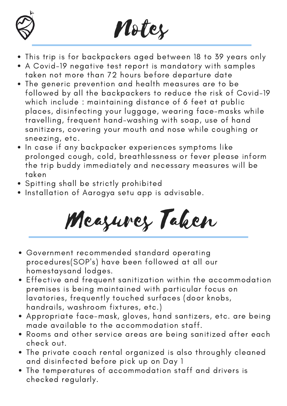



- This trip is for backpackers aged between 18 to 39 years only
- A Covid-19 negative test report is mandatory with samples taken not more than 72 hours before departure date
- The generic prevention and health measures are to be followed by all the backpackers to reduce the risk of Covid-19 which include : maintaining distance of 6 feet at public places, disinfecting your luggage, wearing face-masks while travelling, frequent hand-washing with soap, use of hand sanitizers, covering your mouth and nose while coughing or sneezing, etc.
- . In case if any backpacker experiences symptoms like prolonged cough, cold, breathlessness or fever please inform the trip buddy immediately and necessary measures will be taken
- Spitting shall be strictly prohibited
- Installation of Aarogya setu app is advisable.

Measures Taken

- Government recommended standard operating procedures(SOP's) have been followed at all our homestaysand lodges.
- Effective and frequent sanitization within the accommodation premises is being maintained with particular focus on lavatories, frequently touched surfaces (door knobs, handrails, washroom fixtures, etc.)
- Appropriate face-mask, gloves, hand santizers, etc. are being made available to the accommodation staff.
- Rooms and other service areas are being sanitized after each check out.
- The private coach rental organized is also throughly cleaned and disinfected before pick up on Day 1
- The temperatures of accommodation staff and drivers is checked regularly.